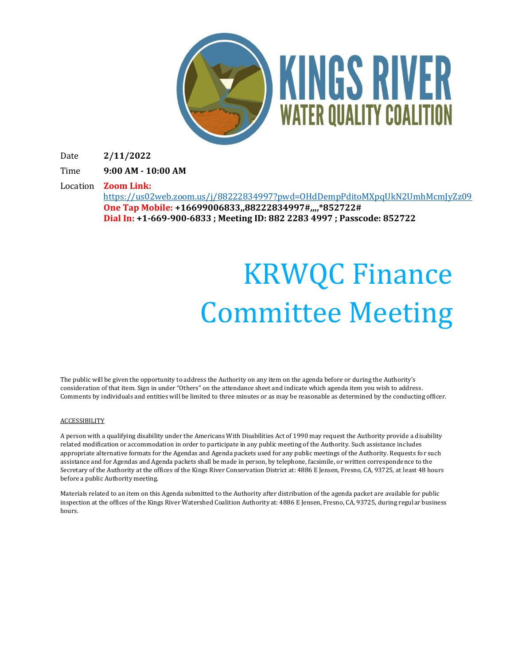

Date **2/11/2022**

Time **9:00 AM - 10:00 AM**

Location **Zoom Link:** 

<https://us02web.zoom.us/j/88222834997?pwd=OHdDempPditoMXpqUkN2UmhMcmJyZz09> **One Tap Mobile: +16699006833,,88222834997#,,,,\*852722# Dial In: +1-669-900-6833 ; Meeting ID: 882 2283 4997 ; Passcode: 852722**

## KRWQC Finance Committee Meeting

The public will be given the opportunity to address the Authority on any item on the agenda before or during the Authority's consideration of that item. Sign in under "Others" on the attendance sheet and indicate which agenda item you wish to address. Comments by individuals and entities will be limited to three minutes or as may be reasonable as determined by the conducting officer.

## **ACCESSIBILITY**

A person with a qualifying disability under the Americans With Disabilities Act of 1990 may request the Authority provide a disability related modification or accommodation in order to participate in any public meeting of the Authority. Such assistance includes appropriate alternative formats for the Agendas and Agenda packets used for any public meetings of the Authority. Requests for such assistance and for Agendas and Agenda packets shall be made in person, by telephone, facsimile, or written correspondence to the Secretary of the Authority at the offices of the Kings River Conservation District at: 4886 E Jensen, Fresno, CA, 93725, at least 48 hours before a public Authority meeting.

Materials related to an item on this Agenda submitted to the Authority after distribution of the agenda packet are available for public inspection at the offices of the Kings River Watershed Coalition Authority at: 4886 E Jensen, Fresno, CA, 93725, during regular business hours.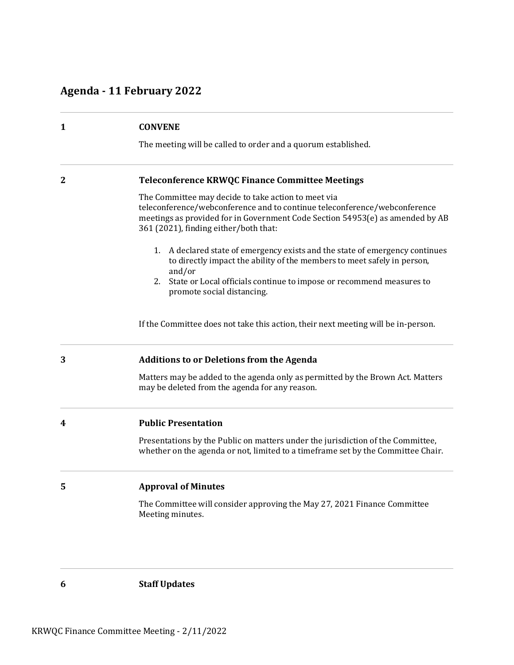## **Agenda - 11 February 2022**

| $\mathbf{1}$ | <b>CONVENE</b>                                                                                                                                                                                                                                             |  |
|--------------|------------------------------------------------------------------------------------------------------------------------------------------------------------------------------------------------------------------------------------------------------------|--|
|              | The meeting will be called to order and a quorum established.                                                                                                                                                                                              |  |
| $\mathbf{2}$ | <b>Teleconference KRWQC Finance Committee Meetings</b>                                                                                                                                                                                                     |  |
|              | The Committee may decide to take action to meet via<br>teleconference/webconference and to continue teleconference/webconference<br>meetings as provided for in Government Code Section 54953(e) as amended by AB<br>361 (2021), finding either/both that: |  |
|              | 1.<br>A declared state of emergency exists and the state of emergency continues<br>to directly impact the ability of the members to meet safely in person,<br>and/or                                                                                       |  |
|              | State or Local officials continue to impose or recommend measures to<br>2.<br>promote social distancing.                                                                                                                                                   |  |
|              | If the Committee does not take this action, their next meeting will be in-person.                                                                                                                                                                          |  |
| 3            | <b>Additions to or Deletions from the Agenda</b>                                                                                                                                                                                                           |  |
|              | Matters may be added to the agenda only as permitted by the Brown Act. Matters<br>may be deleted from the agenda for any reason.                                                                                                                           |  |
| 4            | <b>Public Presentation</b>                                                                                                                                                                                                                                 |  |
|              | Presentations by the Public on matters under the jurisdiction of the Committee,<br>whether on the agenda or not, limited to a timeframe set by the Committee Chair.                                                                                        |  |
| 5            | <b>Approval of Minutes</b>                                                                                                                                                                                                                                 |  |
|              | The Committee will consider approving the May 27, 2021 Finance Committee<br>Meeting minutes.                                                                                                                                                               |  |
|              |                                                                                                                                                                                                                                                            |  |

**6 Staff Updates**